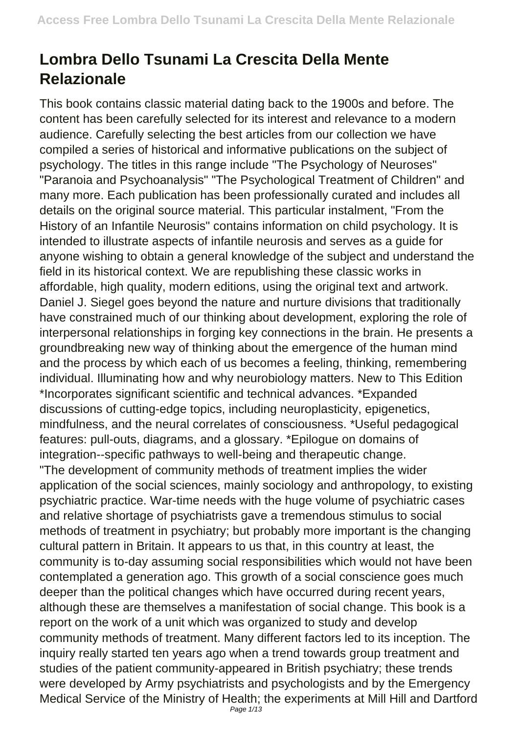## **Lombra Dello Tsunami La Crescita Della Mente Relazionale**

This book contains classic material dating back to the 1900s and before. The content has been carefully selected for its interest and relevance to a modern audience. Carefully selecting the best articles from our collection we have compiled a series of historical and informative publications on the subject of psychology. The titles in this range include "The Psychology of Neuroses" "Paranoia and Psychoanalysis" "The Psychological Treatment of Children" and many more. Each publication has been professionally curated and includes all details on the original source material. This particular instalment, "From the History of an Infantile Neurosis" contains information on child psychology. It is intended to illustrate aspects of infantile neurosis and serves as a guide for anyone wishing to obtain a general knowledge of the subject and understand the field in its historical context. We are republishing these classic works in affordable, high quality, modern editions, using the original text and artwork. Daniel J. Siegel goes beyond the nature and nurture divisions that traditionally have constrained much of our thinking about development, exploring the role of interpersonal relationships in forging key connections in the brain. He presents a groundbreaking new way of thinking about the emergence of the human mind and the process by which each of us becomes a feeling, thinking, remembering individual. Illuminating how and why neurobiology matters. New to This Edition \*Incorporates significant scientific and technical advances. \*Expanded discussions of cutting-edge topics, including neuroplasticity, epigenetics, mindfulness, and the neural correlates of consciousness. \*Useful pedagogical features: pull-outs, diagrams, and a glossary. \*Epilogue on domains of integration--specific pathways to well-being and therapeutic change. "The development of community methods of treatment implies the wider application of the social sciences, mainly sociology and anthropology, to existing psychiatric practice. War-time needs with the huge volume of psychiatric cases and relative shortage of psychiatrists gave a tremendous stimulus to social methods of treatment in psychiatry; but probably more important is the changing cultural pattern in Britain. It appears to us that, in this country at least, the community is to-day assuming social responsibilities which would not have been contemplated a generation ago. This growth of a social conscience goes much deeper than the political changes which have occurred during recent years, although these are themselves a manifestation of social change. This book is a report on the work of a unit which was organized to study and develop community methods of treatment. Many different factors led to its inception. The inquiry really started ten years ago when a trend towards group treatment and studies of the patient community-appeared in British psychiatry; these trends were developed by Army psychiatrists and psychologists and by the Emergency Medical Service of the Ministry of Health; the experiments at Mill Hill and Dartford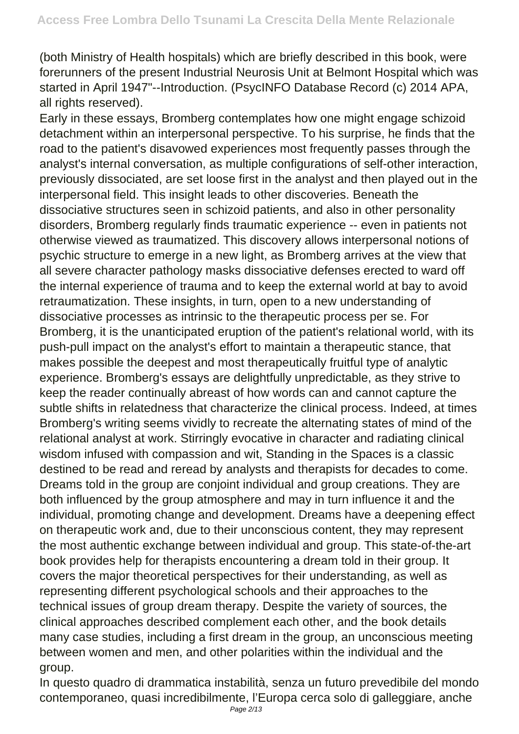(both Ministry of Health hospitals) which are briefly described in this book, were forerunners of the present Industrial Neurosis Unit at Belmont Hospital which was started in April 1947"--Introduction. (PsycINFO Database Record (c) 2014 APA, all rights reserved).

Early in these essays, Bromberg contemplates how one might engage schizoid detachment within an interpersonal perspective. To his surprise, he finds that the road to the patient's disavowed experiences most frequently passes through the analyst's internal conversation, as multiple configurations of self-other interaction, previously dissociated, are set loose first in the analyst and then played out in the interpersonal field. This insight leads to other discoveries. Beneath the dissociative structures seen in schizoid patients, and also in other personality disorders, Bromberg regularly finds traumatic experience -- even in patients not otherwise viewed as traumatized. This discovery allows interpersonal notions of psychic structure to emerge in a new light, as Bromberg arrives at the view that all severe character pathology masks dissociative defenses erected to ward off the internal experience of trauma and to keep the external world at bay to avoid retraumatization. These insights, in turn, open to a new understanding of dissociative processes as intrinsic to the therapeutic process per se. For Bromberg, it is the unanticipated eruption of the patient's relational world, with its push-pull impact on the analyst's effort to maintain a therapeutic stance, that makes possible the deepest and most therapeutically fruitful type of analytic experience. Bromberg's essays are delightfully unpredictable, as they strive to keep the reader continually abreast of how words can and cannot capture the subtle shifts in relatedness that characterize the clinical process. Indeed, at times Bromberg's writing seems vividly to recreate the alternating states of mind of the relational analyst at work. Stirringly evocative in character and radiating clinical wisdom infused with compassion and wit, Standing in the Spaces is a classic destined to be read and reread by analysts and therapists for decades to come. Dreams told in the group are conjoint individual and group creations. They are both influenced by the group atmosphere and may in turn influence it and the individual, promoting change and development. Dreams have a deepening effect on therapeutic work and, due to their unconscious content, they may represent the most authentic exchange between individual and group. This state-of-the-art book provides help for therapists encountering a dream told in their group. It covers the major theoretical perspectives for their understanding, as well as representing different psychological schools and their approaches to the technical issues of group dream therapy. Despite the variety of sources, the clinical approaches described complement each other, and the book details many case studies, including a first dream in the group, an unconscious meeting between women and men, and other polarities within the individual and the group.

In questo quadro di drammatica instabilità, senza un futuro prevedibile del mondo contemporaneo, quasi incredibilmente, l'Europa cerca solo di galleggiare, anche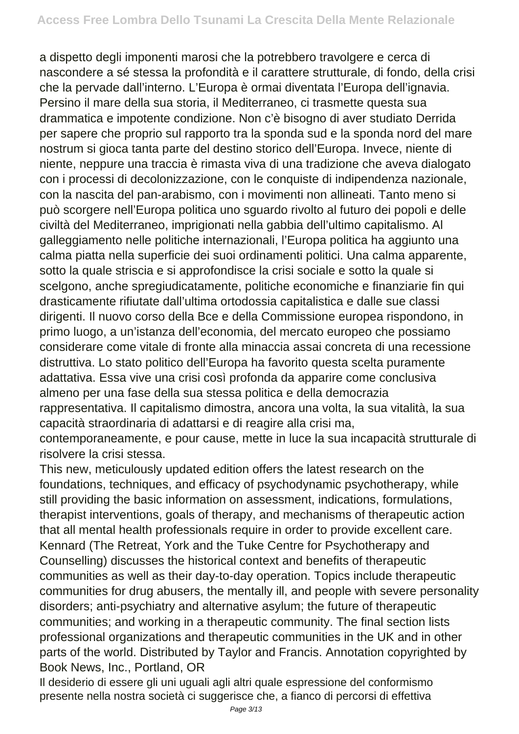a dispetto degli imponenti marosi che la potrebbero travolgere e cerca di nascondere a sé stessa la profondità e il carattere strutturale, di fondo, della crisi che la pervade dall'interno. L'Europa è ormai diventata l'Europa dell'ignavia. Persino il mare della sua storia, il Mediterraneo, ci trasmette questa sua drammatica e impotente condizione. Non c'è bisogno di aver studiato Derrida per sapere che proprio sul rapporto tra la sponda sud e la sponda nord del mare nostrum si gioca tanta parte del destino storico dell'Europa. Invece, niente di niente, neppure una traccia è rimasta viva di una tradizione che aveva dialogato con i processi di decolonizzazione, con le conquiste di indipendenza nazionale, con la nascita del pan-arabismo, con i movimenti non allineati. Tanto meno si può scorgere nell'Europa politica uno sguardo rivolto al futuro dei popoli e delle civiltà del Mediterraneo, imprigionati nella gabbia dell'ultimo capitalismo. Al galleggiamento nelle politiche internazionali, l'Europa politica ha aggiunto una calma piatta nella superficie dei suoi ordinamenti politici. Una calma apparente, sotto la quale striscia e si approfondisce la crisi sociale e sotto la quale si scelgono, anche spregiudicatamente, politiche economiche e finanziarie fin qui drasticamente rifiutate dall'ultima ortodossia capitalistica e dalle sue classi dirigenti. Il nuovo corso della Bce e della Commissione europea rispondono, in primo luogo, a un'istanza dell'economia, del mercato europeo che possiamo considerare come vitale di fronte alla minaccia assai concreta di una recessione distruttiva. Lo stato politico dell'Europa ha favorito questa scelta puramente adattativa. Essa vive una crisi così profonda da apparire come conclusiva almeno per una fase della sua stessa politica e della democrazia rappresentativa. Il capitalismo dimostra, ancora una volta, la sua vitalità, la sua capacità straordinaria di adattarsi e di reagire alla crisi ma, contemporaneamente, e pour cause, mette in luce la sua incapacità strutturale di risolvere la crisi stessa.

This new, meticulously updated edition offers the latest research on the foundations, techniques, and efficacy of psychodynamic psychotherapy, while still providing the basic information on assessment, indications, formulations, therapist interventions, goals of therapy, and mechanisms of therapeutic action that all mental health professionals require in order to provide excellent care. Kennard (The Retreat, York and the Tuke Centre for Psychotherapy and Counselling) discusses the historical context and benefits of therapeutic communities as well as their day-to-day operation. Topics include therapeutic communities for drug abusers, the mentally ill, and people with severe personality disorders; anti-psychiatry and alternative asylum; the future of therapeutic communities; and working in a therapeutic community. The final section lists professional organizations and therapeutic communities in the UK and in other parts of the world. Distributed by Taylor and Francis. Annotation copyrighted by Book News, Inc., Portland, OR

Il desiderio di essere gli uni uguali agli altri quale espressione del conformismo presente nella nostra società ci suggerisce che, a fianco di percorsi di effettiva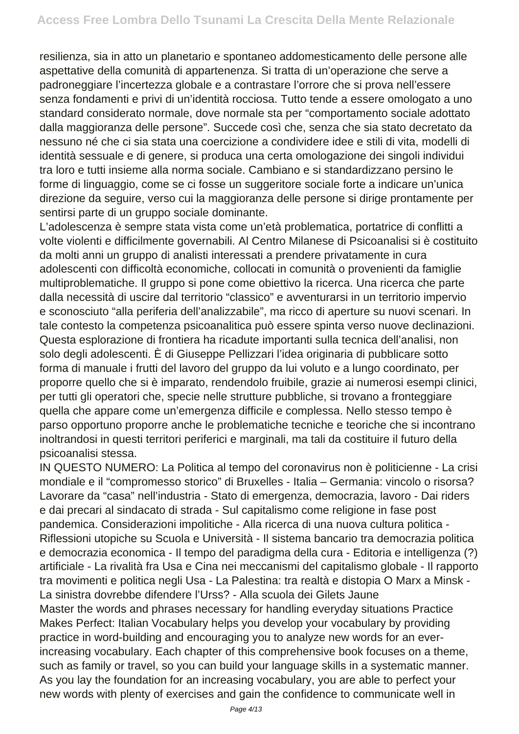resilienza, sia in atto un planetario e spontaneo addomesticamento delle persone alle aspettative della comunità di appartenenza. Si tratta di un'operazione che serve a padroneggiare l'incertezza globale e a contrastare l'orrore che si prova nell'essere senza fondamenti e privi di un'identità rocciosa. Tutto tende a essere omologato a uno standard considerato normale, dove normale sta per "comportamento sociale adottato dalla maggioranza delle persone". Succede così che, senza che sia stato decretato da nessuno né che ci sia stata una coercizione a condividere idee e stili di vita, modelli di identità sessuale e di genere, si produca una certa omologazione dei singoli individui tra loro e tutti insieme alla norma sociale. Cambiano e si standardizzano persino le forme di linguaggio, come se ci fosse un suggeritore sociale forte a indicare un'unica direzione da seguire, verso cui la maggioranza delle persone si dirige prontamente per sentirsi parte di un gruppo sociale dominante.

L'adolescenza è sempre stata vista come un'età problematica, portatrice di conflitti a volte violenti e difficilmente governabili. Al Centro Milanese di Psicoanalisi si è costituito da molti anni un gruppo di analisti interessati a prendere privatamente in cura adolescenti con difficoltà economiche, collocati in comunità o provenienti da famiglie multiproblematiche. Il gruppo si pone come obiettivo la ricerca. Una ricerca che parte dalla necessità di uscire dal territorio "classico" e avventurarsi in un territorio impervio e sconosciuto "alla periferia dell'analizzabile", ma ricco di aperture su nuovi scenari. In tale contesto la competenza psicoanalitica può essere spinta verso nuove declinazioni. Questa esplorazione di frontiera ha ricadute importanti sulla tecnica dell'analisi, non solo degli adolescenti. È di Giuseppe Pellizzari l'idea originaria di pubblicare sotto forma di manuale i frutti del lavoro del gruppo da lui voluto e a lungo coordinato, per proporre quello che si è imparato, rendendolo fruibile, grazie ai numerosi esempi clinici, per tutti gli operatori che, specie nelle strutture pubbliche, si trovano a fronteggiare quella che appare come un'emergenza difficile e complessa. Nello stesso tempo è parso opportuno proporre anche le problematiche tecniche e teoriche che si incontrano inoltrandosi in questi territori periferici e marginali, ma tali da costituire il futuro della psicoanalisi stessa.

IN QUESTO NUMERO: La Politica al tempo del coronavirus non è politicienne - La crisi mondiale e il "compromesso storico" di Bruxelles - Italia – Germania: vincolo o risorsa? Lavorare da "casa" nell'industria - Stato di emergenza, democrazia, lavoro - Dai riders e dai precari al sindacato di strada - Sul capitalismo come religione in fase post pandemica. Considerazioni impolitiche - Alla ricerca di una nuova cultura politica - Riflessioni utopiche su Scuola e Università - Il sistema bancario tra democrazia politica e democrazia economica - Il tempo del paradigma della cura - Editoria e intelligenza (?) artificiale - La rivalità fra Usa e Cina nei meccanismi del capitalismo globale - Il rapporto tra movimenti e politica negli Usa - La Palestina: tra realtà e distopia O Marx a Minsk - La sinistra dovrebbe difendere l'Urss? - Alla scuola dei Gilets Jaune Master the words and phrases necessary for handling everyday situations Practice

Makes Perfect: Italian Vocabulary helps you develop your vocabulary by providing practice in word-building and encouraging you to analyze new words for an everincreasing vocabulary. Each chapter of this comprehensive book focuses on a theme, such as family or travel, so you can build your language skills in a systematic manner. As you lay the foundation for an increasing vocabulary, you are able to perfect your new words with plenty of exercises and gain the confidence to communicate well in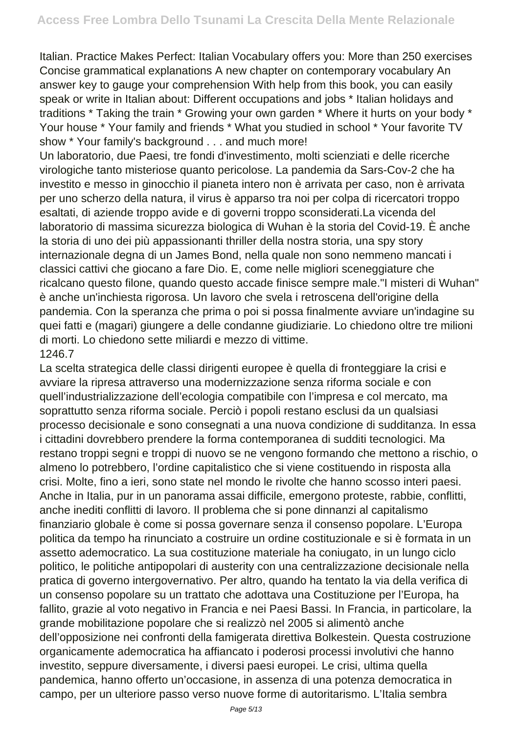Italian. Practice Makes Perfect: Italian Vocabulary offers you: More than 250 exercises Concise grammatical explanations A new chapter on contemporary vocabulary An answer key to gauge your comprehension With help from this book, you can easily speak or write in Italian about: Different occupations and jobs \* Italian holidays and traditions \* Taking the train \* Growing your own garden \* Where it hurts on your body \* Your house \* Your family and friends \* What you studied in school \* Your favorite TV show \* Your family's background . . . and much more!

Un laboratorio, due Paesi, tre fondi d'investimento, molti scienziati e delle ricerche virologiche tanto misteriose quanto pericolose. La pandemia da Sars-Cov-2 che ha investito e messo in ginocchio il pianeta intero non è arrivata per caso, non è arrivata per uno scherzo della natura, il virus è apparso tra noi per colpa di ricercatori troppo esaltati, di aziende troppo avide e di governi troppo sconsiderati.La vicenda del laboratorio di massima sicurezza biologica di Wuhan è la storia del Covid-19. È anche la storia di uno dei più appassionanti thriller della nostra storia, una spy story internazionale degna di un James Bond, nella quale non sono nemmeno mancati i classici cattivi che giocano a fare Dio. E, come nelle migliori sceneggiature che ricalcano questo filone, quando questo accade finisce sempre male."I misteri di Wuhan" è anche un'inchiesta rigorosa. Un lavoro che svela i retroscena dell'origine della pandemia. Con la speranza che prima o poi si possa finalmente avviare un'indagine su quei fatti e (magari) giungere a delle condanne giudiziarie. Lo chiedono oltre tre milioni di morti. Lo chiedono sette miliardi e mezzo di vittime. 1246.7

La scelta strategica delle classi dirigenti europee è quella di fronteggiare la crisi e avviare la ripresa attraverso una modernizzazione senza riforma sociale e con quell'industrializzazione dell'ecologia compatibile con l'impresa e col mercato, ma soprattutto senza riforma sociale. Perciò i popoli restano esclusi da un qualsiasi processo decisionale e sono consegnati a una nuova condizione di sudditanza. In essa i cittadini dovrebbero prendere la forma contemporanea di sudditi tecnologici. Ma restano troppi segni e troppi di nuovo se ne vengono formando che mettono a rischio, o almeno lo potrebbero, l'ordine capitalistico che si viene costituendo in risposta alla crisi. Molte, fino a ieri, sono state nel mondo le rivolte che hanno scosso interi paesi. Anche in Italia, pur in un panorama assai difficile, emergono proteste, rabbie, conflitti, anche inediti conflitti di lavoro. Il problema che si pone dinnanzi al capitalismo finanziario globale è come si possa governare senza il consenso popolare. L'Europa politica da tempo ha rinunciato a costruire un ordine costituzionale e si è formata in un assetto ademocratico. La sua costituzione materiale ha coniugato, in un lungo ciclo politico, le politiche antipopolari di austerity con una centralizzazione decisionale nella pratica di governo intergovernativo. Per altro, quando ha tentato la via della verifica di un consenso popolare su un trattato che adottava una Costituzione per l'Europa, ha fallito, grazie al voto negativo in Francia e nei Paesi Bassi. In Francia, in particolare, la grande mobilitazione popolare che si realizzò nel 2005 si alimentò anche dell'opposizione nei confronti della famigerata direttiva Bolkestein. Questa costruzione organicamente ademocratica ha affiancato i poderosi processi involutivi che hanno investito, seppure diversamente, i diversi paesi europei. Le crisi, ultima quella pandemica, hanno offerto un'occasione, in assenza di una potenza democratica in campo, per un ulteriore passo verso nuove forme di autoritarismo. L'Italia sembra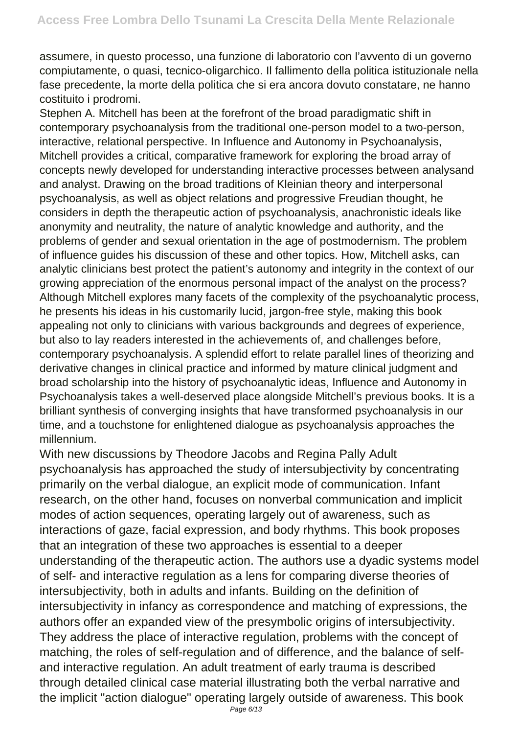assumere, in questo processo, una funzione di laboratorio con l'avvento di un governo compiutamente, o quasi, tecnico-oligarchico. Il fallimento della politica istituzionale nella fase precedente, la morte della politica che si era ancora dovuto constatare, ne hanno costituito i prodromi.

Stephen A. Mitchell has been at the forefront of the broad paradigmatic shift in contemporary psychoanalysis from the traditional one-person model to a two-person, interactive, relational perspective. In Influence and Autonomy in Psychoanalysis, Mitchell provides a critical, comparative framework for exploring the broad array of concepts newly developed for understanding interactive processes between analysand and analyst. Drawing on the broad traditions of Kleinian theory and interpersonal psychoanalysis, as well as object relations and progressive Freudian thought, he considers in depth the therapeutic action of psychoanalysis, anachronistic ideals like anonymity and neutrality, the nature of analytic knowledge and authority, and the problems of gender and sexual orientation in the age of postmodernism. The problem of influence guides his discussion of these and other topics. How, Mitchell asks, can analytic clinicians best protect the patient's autonomy and integrity in the context of our growing appreciation of the enormous personal impact of the analyst on the process? Although Mitchell explores many facets of the complexity of the psychoanalytic process, he presents his ideas in his customarily lucid, jargon-free style, making this book appealing not only to clinicians with various backgrounds and degrees of experience, but also to lay readers interested in the achievements of, and challenges before, contemporary psychoanalysis. A splendid effort to relate parallel lines of theorizing and derivative changes in clinical practice and informed by mature clinical judgment and broad scholarship into the history of psychoanalytic ideas, Influence and Autonomy in Psychoanalysis takes a well-deserved place alongside Mitchell's previous books. It is a brilliant synthesis of converging insights that have transformed psychoanalysis in our time, and a touchstone for enlightened dialogue as psychoanalysis approaches the millennium.

With new discussions by Theodore Jacobs and Regina Pally Adult psychoanalysis has approached the study of intersubjectivity by concentrating primarily on the verbal dialogue, an explicit mode of communication. Infant research, on the other hand, focuses on nonverbal communication and implicit modes of action sequences, operating largely out of awareness, such as interactions of gaze, facial expression, and body rhythms. This book proposes that an integration of these two approaches is essential to a deeper understanding of the therapeutic action. The authors use a dyadic systems model of self- and interactive regulation as a lens for comparing diverse theories of intersubjectivity, both in adults and infants. Building on the definition of intersubjectivity in infancy as correspondence and matching of expressions, the authors offer an expanded view of the presymbolic origins of intersubjectivity. They address the place of interactive regulation, problems with the concept of matching, the roles of self-regulation and of difference, and the balance of selfand interactive regulation. An adult treatment of early trauma is described through detailed clinical case material illustrating both the verbal narrative and the implicit "action dialogue" operating largely outside of awareness. This book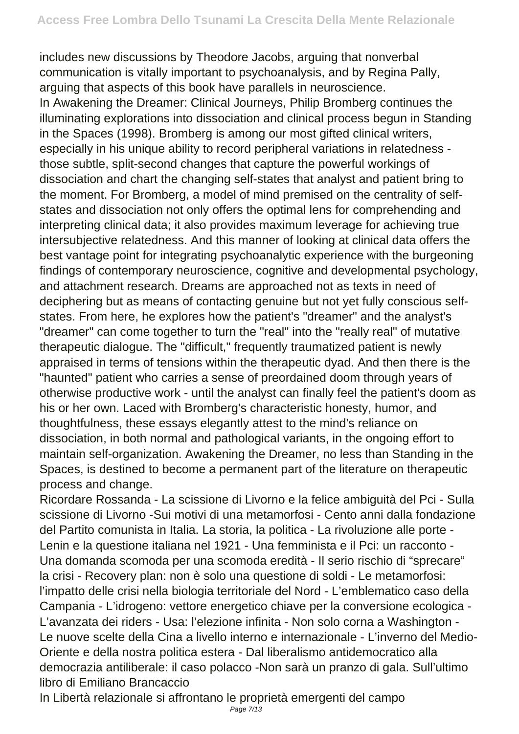includes new discussions by Theodore Jacobs, arguing that nonverbal communication is vitally important to psychoanalysis, and by Regina Pally, arguing that aspects of this book have parallels in neuroscience. In Awakening the Dreamer: Clinical Journeys, Philip Bromberg continues the illuminating explorations into dissociation and clinical process begun in Standing in the Spaces (1998). Bromberg is among our most gifted clinical writers, especially in his unique ability to record peripheral variations in relatedness those subtle, split-second changes that capture the powerful workings of dissociation and chart the changing self-states that analyst and patient bring to the moment. For Bromberg, a model of mind premised on the centrality of selfstates and dissociation not only offers the optimal lens for comprehending and interpreting clinical data; it also provides maximum leverage for achieving true intersubjective relatedness. And this manner of looking at clinical data offers the best vantage point for integrating psychoanalytic experience with the burgeoning findings of contemporary neuroscience, cognitive and developmental psychology, and attachment research. Dreams are approached not as texts in need of deciphering but as means of contacting genuine but not yet fully conscious selfstates. From here, he explores how the patient's "dreamer" and the analyst's "dreamer" can come together to turn the "real" into the "really real" of mutative therapeutic dialogue. The "difficult," frequently traumatized patient is newly appraised in terms of tensions within the therapeutic dyad. And then there is the "haunted" patient who carries a sense of preordained doom through years of otherwise productive work - until the analyst can finally feel the patient's doom as his or her own. Laced with Bromberg's characteristic honesty, humor, and thoughtfulness, these essays elegantly attest to the mind's reliance on dissociation, in both normal and pathological variants, in the ongoing effort to maintain self-organization. Awakening the Dreamer, no less than Standing in the Spaces, is destined to become a permanent part of the literature on therapeutic process and change.

Ricordare Rossanda - La scissione di Livorno e la felice ambiguità del Pci - Sulla scissione di Livorno -Sui motivi di una metamorfosi - Cento anni dalla fondazione del Partito comunista in Italia. La storia, la politica - La rivoluzione alle porte - Lenin e la questione italiana nel 1921 - Una femminista e il Pci: un racconto - Una domanda scomoda per una scomoda eredità - Il serio rischio di "sprecare" la crisi - Recovery plan: non è solo una questione di soldi - Le metamorfosi: l'impatto delle crisi nella biologia territoriale del Nord - L'emblematico caso della Campania - L'idrogeno: vettore energetico chiave per la conversione ecologica - L'avanzata dei riders - Usa: l'elezione infinita - Non solo corna a Washington - Le nuove scelte della Cina a livello interno e internazionale - L'inverno del Medio-Oriente e della nostra politica estera - Dal liberalismo antidemocratico alla democrazia antiliberale: il caso polacco -Non sarà un pranzo di gala. Sull'ultimo libro di Emiliano Brancaccio

In Libertà relazionale si affrontano le proprietà emergenti del campo Page 7/13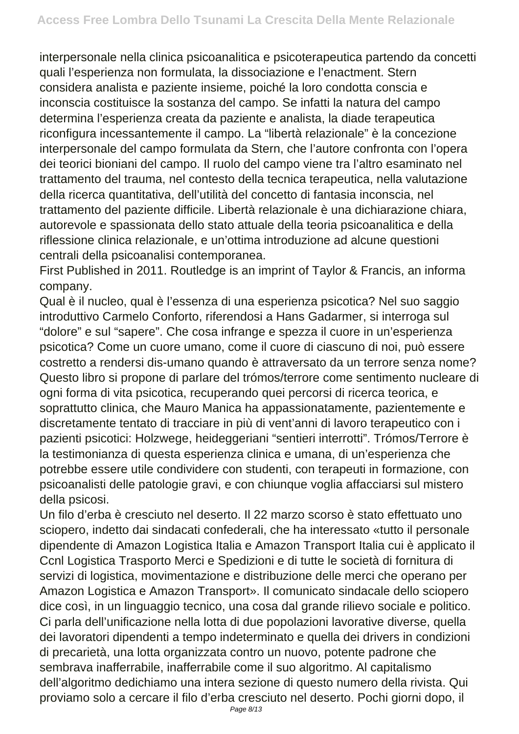interpersonale nella clinica psicoanalitica e psicoterapeutica partendo da concetti quali l'esperienza non formulata, la dissociazione e l'enactment. Stern considera analista e paziente insieme, poiché la loro condotta conscia e inconscia costituisce la sostanza del campo. Se infatti la natura del campo determina l'esperienza creata da paziente e analista, la diade terapeutica riconfigura incessantemente il campo. La "libertà relazionale" è la concezione interpersonale del campo formulata da Stern, che l'autore confronta con l'opera dei teorici bioniani del campo. Il ruolo del campo viene tra l'altro esaminato nel trattamento del trauma, nel contesto della tecnica terapeutica, nella valutazione della ricerca quantitativa, dell'utilità del concetto di fantasia inconscia, nel trattamento del paziente difficile. Libertà relazionale è una dichiarazione chiara, autorevole e spassionata dello stato attuale della teoria psicoanalitica e della riflessione clinica relazionale, e un'ottima introduzione ad alcune questioni centrali della psicoanalisi contemporanea.

First Published in 2011. Routledge is an imprint of Taylor & Francis, an informa company.

Qual è il nucleo, qual è l'essenza di una esperienza psicotica? Nel suo saggio introduttivo Carmelo Conforto, riferendosi a Hans Gadarmer, si interroga sul "dolore" e sul "sapere". Che cosa infrange e spezza il cuore in un'esperienza psicotica? Come un cuore umano, come il cuore di ciascuno di noi, può essere costretto a rendersi dis-umano quando è attraversato da un terrore senza nome? Questo libro si propone di parlare del trómos/terrore come sentimento nucleare di ogni forma di vita psicotica, recuperando quei percorsi di ricerca teorica, e soprattutto clinica, che Mauro Manica ha appassionatamente, pazientemente e discretamente tentato di tracciare in più di vent'anni di lavoro terapeutico con i pazienti psicotici: Holzwege, heideggeriani "sentieri interrotti". Trómos/Terrore è la testimonianza di questa esperienza clinica e umana, di un'esperienza che potrebbe essere utile condividere con studenti, con terapeuti in formazione, con psicoanalisti delle patologie gravi, e con chiunque voglia affacciarsi sul mistero della psicosi.

Un filo d'erba è cresciuto nel deserto. Il 22 marzo scorso è stato effettuato uno sciopero, indetto dai sindacati confederali, che ha interessato «tutto il personale dipendente di Amazon Logistica Italia e Amazon Transport Italia cui è applicato il Ccnl Logistica Trasporto Merci e Spedizioni e di tutte le società di fornitura di servizi di logistica, movimentazione e distribuzione delle merci che operano per Amazon Logistica e Amazon Transport». Il comunicato sindacale dello sciopero dice così, in un linguaggio tecnico, una cosa dal grande rilievo sociale e politico. Ci parla dell'unificazione nella lotta di due popolazioni lavorative diverse, quella dei lavoratori dipendenti a tempo indeterminato e quella dei drivers in condizioni di precarietà, una lotta organizzata contro un nuovo, potente padrone che sembrava inafferrabile, inafferrabile come il suo algoritmo. Al capitalismo dell'algoritmo dedichiamo una intera sezione di questo numero della rivista. Qui proviamo solo a cercare il filo d'erba cresciuto nel deserto. Pochi giorni dopo, il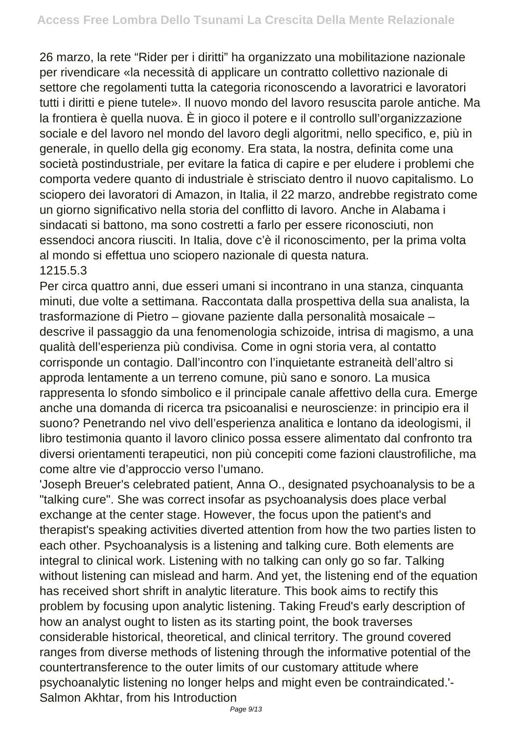26 marzo, la rete "Rider per i diritti" ha organizzato una mobilitazione nazionale per rivendicare «la necessità di applicare un contratto collettivo nazionale di settore che regolamenti tutta la categoria riconoscendo a lavoratrici e lavoratori tutti i diritti e piene tutele». Il nuovo mondo del lavoro resuscita parole antiche. Ma la frontiera è quella nuova. È in gioco il potere e il controllo sull'organizzazione sociale e del lavoro nel mondo del lavoro degli algoritmi, nello specifico, e, più in generale, in quello della gig economy. Era stata, la nostra, definita come una società postindustriale, per evitare la fatica di capire e per eludere i problemi che comporta vedere quanto di industriale è strisciato dentro il nuovo capitalismo. Lo sciopero dei lavoratori di Amazon, in Italia, il 22 marzo, andrebbe registrato come un giorno significativo nella storia del conflitto di lavoro. Anche in Alabama i sindacati si battono, ma sono costretti a farlo per essere riconosciuti, non essendoci ancora riusciti. In Italia, dove c'è il riconoscimento, per la prima volta al mondo si effettua uno sciopero nazionale di questa natura. 1215.5.3

Per circa quattro anni, due esseri umani si incontrano in una stanza, cinquanta minuti, due volte a settimana. Raccontata dalla prospettiva della sua analista, la trasformazione di Pietro – giovane paziente dalla personalità mosaicale – descrive il passaggio da una fenomenologia schizoide, intrisa di magismo, a una qualità dell'esperienza più condivisa. Come in ogni storia vera, al contatto corrisponde un contagio. Dall'incontro con l'inquietante estraneità dell'altro si approda lentamente a un terreno comune, più sano e sonoro. La musica rappresenta lo sfondo simbolico e il principale canale affettivo della cura. Emerge anche una domanda di ricerca tra psicoanalisi e neuroscienze: in principio era il suono? Penetrando nel vivo dell'esperienza analitica e lontano da ideologismi, il libro testimonia quanto il lavoro clinico possa essere alimentato dal confronto tra diversi orientamenti terapeutici, non più concepiti come fazioni claustrofiliche, ma come altre vie d'approccio verso l'umano.

'Joseph Breuer's celebrated patient, Anna O., designated psychoanalysis to be a "talking cure". She was correct insofar as psychoanalysis does place verbal exchange at the center stage. However, the focus upon the patient's and therapist's speaking activities diverted attention from how the two parties listen to each other. Psychoanalysis is a listening and talking cure. Both elements are integral to clinical work. Listening with no talking can only go so far. Talking without listening can mislead and harm. And yet, the listening end of the equation has received short shrift in analytic literature. This book aims to rectify this problem by focusing upon analytic listening. Taking Freud's early description of how an analyst ought to listen as its starting point, the book traverses considerable historical, theoretical, and clinical territory. The ground covered ranges from diverse methods of listening through the informative potential of the countertransference to the outer limits of our customary attitude where psychoanalytic listening no longer helps and might even be contraindicated.'- Salmon Akhtar, from his Introduction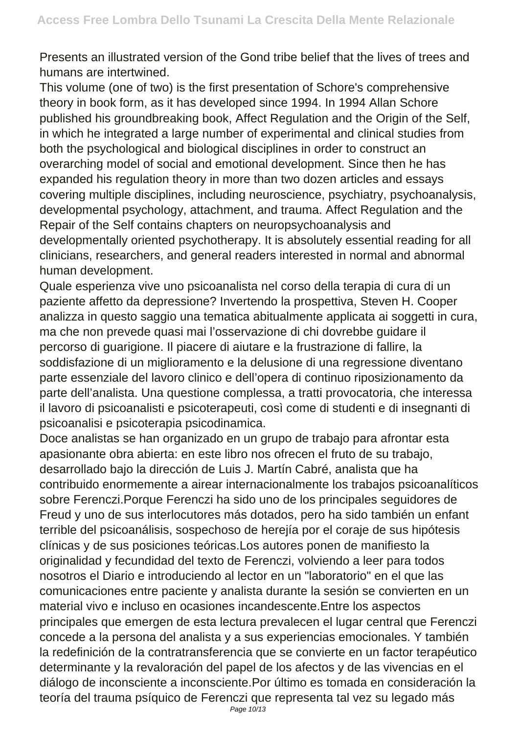Presents an illustrated version of the Gond tribe belief that the lives of trees and humans are intertwined.

This volume (one of two) is the first presentation of Schore's comprehensive theory in book form, as it has developed since 1994. In 1994 Allan Schore published his groundbreaking book, Affect Regulation and the Origin of the Self, in which he integrated a large number of experimental and clinical studies from both the psychological and biological disciplines in order to construct an overarching model of social and emotional development. Since then he has expanded his regulation theory in more than two dozen articles and essays covering multiple disciplines, including neuroscience, psychiatry, psychoanalysis, developmental psychology, attachment, and trauma. Affect Regulation and the Repair of the Self contains chapters on neuropsychoanalysis and developmentally oriented psychotherapy. It is absolutely essential reading for all clinicians, researchers, and general readers interested in normal and abnormal human development.

Quale esperienza vive uno psicoanalista nel corso della terapia di cura di un paziente affetto da depressione? Invertendo la prospettiva, Steven H. Cooper analizza in questo saggio una tematica abitualmente applicata ai soggetti in cura, ma che non prevede quasi mai l'osservazione di chi dovrebbe guidare il percorso di guarigione. Il piacere di aiutare e la frustrazione di fallire, la soddisfazione di un miglioramento e la delusione di una regressione diventano parte essenziale del lavoro clinico e dell'opera di continuo riposizionamento da parte dell'analista. Una questione complessa, a tratti provocatoria, che interessa il lavoro di psicoanalisti e psicoterapeuti, così come di studenti e di insegnanti di psicoanalisi e psicoterapia psicodinamica.

Doce analistas se han organizado en un grupo de trabajo para afrontar esta apasionante obra abierta: en este libro nos ofrecen el fruto de su trabajo, desarrollado bajo la dirección de Luis J. Martín Cabré, analista que ha contribuido enormemente a airear internacionalmente los trabajos psicoanalíticos sobre Ferenczi.Porque Ferenczi ha sido uno de los principales seguidores de Freud y uno de sus interlocutores más dotados, pero ha sido también un enfant terrible del psicoanálisis, sospechoso de herejía por el coraje de sus hipótesis clínicas y de sus posiciones teóricas.Los autores ponen de manifiesto la originalidad y fecundidad del texto de Ferenczi, volviendo a leer para todos nosotros el Diario e introduciendo al lector en un "laboratorio" en el que las comunicaciones entre paciente y analista durante la sesión se convierten en un material vivo e incluso en ocasiones incandescente.Entre los aspectos principales que emergen de esta lectura prevalecen el lugar central que Ferenczi concede a la persona del analista y a sus experiencias emocionales. Y también la redefinición de la contratransferencia que se convierte en un factor terapéutico determinante y la revaloración del papel de los afectos y de las vivencias en el diálogo de inconsciente a inconsciente.Por último es tomada en consideración la teoría del trauma psíquico de Ferenczi que representa tal vez su legado más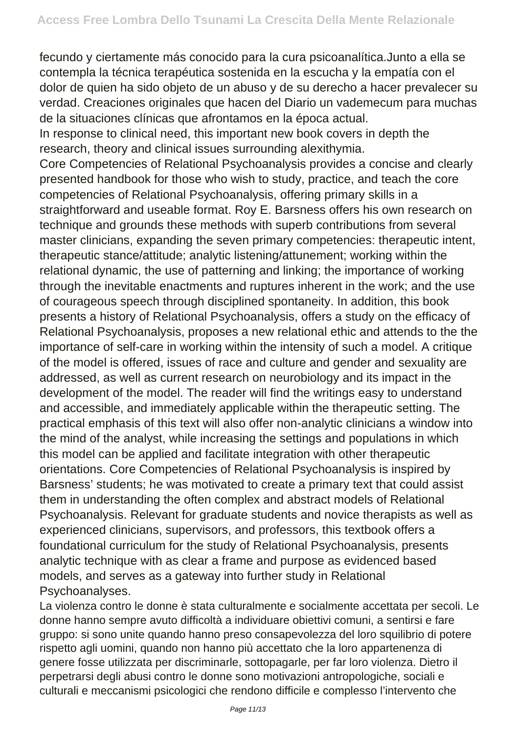fecundo y ciertamente más conocido para la cura psicoanalítica.Junto a ella se contempla la técnica terapéutica sostenida en la escucha y la empatía con el dolor de quien ha sido objeto de un abuso y de su derecho a hacer prevalecer su verdad. Creaciones originales que hacen del Diario un vademecum para muchas de la situaciones clínicas que afrontamos en la época actual.

In response to clinical need, this important new book covers in depth the research, theory and clinical issues surrounding alexithymia.

Core Competencies of Relational Psychoanalysis provides a concise and clearly presented handbook for those who wish to study, practice, and teach the core competencies of Relational Psychoanalysis, offering primary skills in a straightforward and useable format. Roy E. Barsness offers his own research on technique and grounds these methods with superb contributions from several master clinicians, expanding the seven primary competencies: therapeutic intent, therapeutic stance/attitude; analytic listening/attunement; working within the relational dynamic, the use of patterning and linking; the importance of working through the inevitable enactments and ruptures inherent in the work; and the use of courageous speech through disciplined spontaneity. In addition, this book presents a history of Relational Psychoanalysis, offers a study on the efficacy of Relational Psychoanalysis, proposes a new relational ethic and attends to the the importance of self-care in working within the intensity of such a model. A critique of the model is offered, issues of race and culture and gender and sexuality are addressed, as well as current research on neurobiology and its impact in the development of the model. The reader will find the writings easy to understand and accessible, and immediately applicable within the therapeutic setting. The practical emphasis of this text will also offer non-analytic clinicians a window into the mind of the analyst, while increasing the settings and populations in which this model can be applied and facilitate integration with other therapeutic orientations. Core Competencies of Relational Psychoanalysis is inspired by Barsness' students; he was motivated to create a primary text that could assist them in understanding the often complex and abstract models of Relational Psychoanalysis. Relevant for graduate students and novice therapists as well as experienced clinicians, supervisors, and professors, this textbook offers a foundational curriculum for the study of Relational Psychoanalysis, presents analytic technique with as clear a frame and purpose as evidenced based models, and serves as a gateway into further study in Relational Psychoanalyses.

La violenza contro le donne è stata culturalmente e socialmente accettata per secoli. Le donne hanno sempre avuto difficoltà a individuare obiettivi comuni, a sentirsi e fare gruppo: si sono unite quando hanno preso consapevolezza del loro squilibrio di potere rispetto agli uomini, quando non hanno più accettato che la loro appartenenza di genere fosse utilizzata per discriminarle, sottopagarle, per far loro violenza. Dietro il perpetrarsi degli abusi contro le donne sono motivazioni antropologiche, sociali e culturali e meccanismi psicologici che rendono difficile e complesso l'intervento che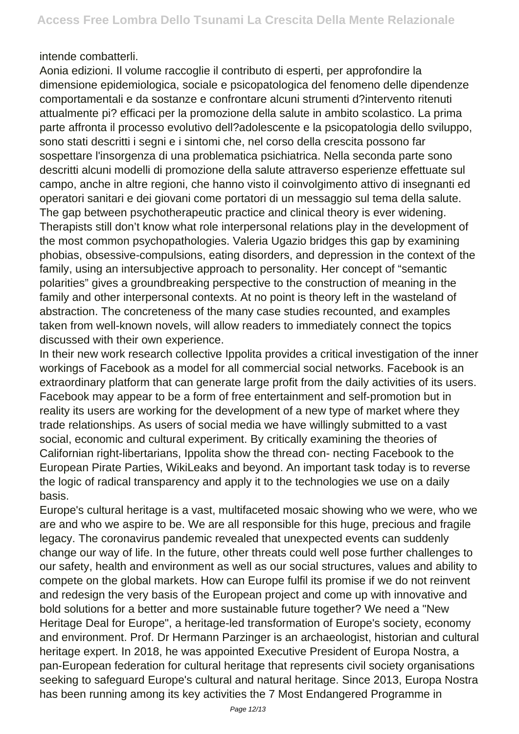## intende combatterli.

Aonia edizioni. Il volume raccoglie il contributo di esperti, per approfondire la dimensione epidemiologica, sociale e psicopatologica del fenomeno delle dipendenze comportamentali e da sostanze e confrontare alcuni strumenti d?intervento ritenuti attualmente pi? efficaci per la promozione della salute in ambito scolastico. La prima parte affronta il processo evolutivo dell?adolescente e la psicopatologia dello sviluppo, sono stati descritti i segni e i sintomi che, nel corso della crescita possono far sospettare l'insorgenza di una problematica psichiatrica. Nella seconda parte sono descritti alcuni modelli di promozione della salute attraverso esperienze effettuate sul campo, anche in altre regioni, che hanno visto il coinvolgimento attivo di insegnanti ed operatori sanitari e dei giovani come portatori di un messaggio sul tema della salute. The gap between psychotherapeutic practice and clinical theory is ever widening. Therapists still don't know what role interpersonal relations play in the development of the most common psychopathologies. Valeria Ugazio bridges this gap by examining phobias, obsessive-compulsions, eating disorders, and depression in the context of the family, using an intersubjective approach to personality. Her concept of "semantic polarities" gives a groundbreaking perspective to the construction of meaning in the family and other interpersonal contexts. At no point is theory left in the wasteland of abstraction. The concreteness of the many case studies recounted, and examples taken from well-known novels, will allow readers to immediately connect the topics discussed with their own experience.

In their new work research collective Ippolita provides a critical investigation of the inner workings of Facebook as a model for all commercial social networks. Facebook is an extraordinary platform that can generate large profit from the daily activities of its users. Facebook may appear to be a form of free entertainment and self-promotion but in reality its users are working for the development of a new type of market where they trade relationships. As users of social media we have willingly submitted to a vast social, economic and cultural experiment. By critically examining the theories of Californian right-libertarians, Ippolita show the thread con- necting Facebook to the European Pirate Parties, WikiLeaks and beyond. An important task today is to reverse the logic of radical transparency and apply it to the technologies we use on a daily basis.

Europe's cultural heritage is a vast, multifaceted mosaic showing who we were, who we are and who we aspire to be. We are all responsible for this huge, precious and fragile legacy. The coronavirus pandemic revealed that unexpected events can suddenly change our way of life. In the future, other threats could well pose further challenges to our safety, health and environment as well as our social structures, values and ability to compete on the global markets. How can Europe fulfil its promise if we do not reinvent and redesign the very basis of the European project and come up with innovative and bold solutions for a better and more sustainable future together? We need a "New Heritage Deal for Europe", a heritage-led transformation of Europe's society, economy and environment. Prof. Dr Hermann Parzinger is an archaeologist, historian and cultural heritage expert. In 2018, he was appointed Executive President of Europa Nostra, a pan-European federation for cultural heritage that represents civil society organisations seeking to safeguard Europe's cultural and natural heritage. Since 2013, Europa Nostra has been running among its key activities the 7 Most Endangered Programme in